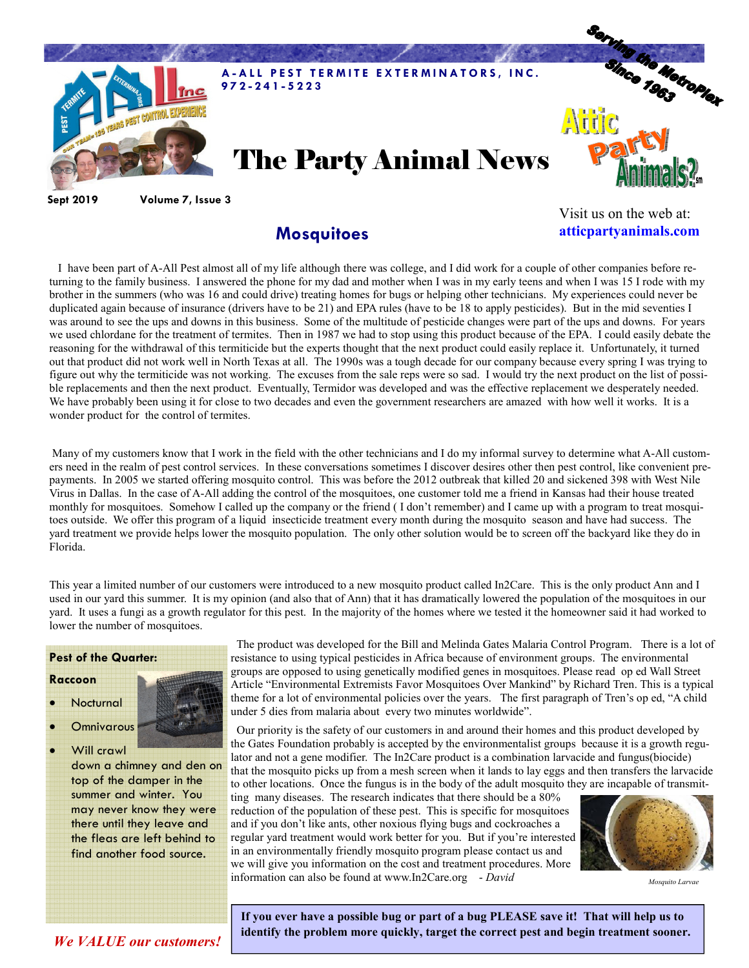

Sept 2019 Volume 7, Issue 3

## **Mosquitoes**

Visit us on the web at: atticpartyanimals.com

 I have been part of A-All Pest almost all of my life although there was college, and I did work for a couple of other companies before returning to the family business. I answered the phone for my dad and mother when I was in my early teens and when I was 15 I rode with my brother in the summers (who was 16 and could drive) treating homes for bugs or helping other technicians. My experiences could never be duplicated again because of insurance (drivers have to be 21) and EPA rules (have to be 18 to apply pesticides). But in the mid seventies I was around to see the ups and downs in this business. Some of the multitude of pesticide changes were part of the ups and downs. For years we used chlordane for the treatment of termites. Then in 1987 we had to stop using this product because of the EPA. I could easily debate the reasoning for the withdrawal of this termiticide but the experts thought that the next product could easily replace it. Unfortunately, it turned out that product did not work well in North Texas at all. The 1990s was a tough decade for our company because every spring I was trying to figure out why the termiticide was not working. The excuses from the sale reps were so sad. I would try the next product on the list of possible replacements and then the next product. Eventually, Termidor was developed and was the effective replacement we desperately needed. We have probably been using it for close to two decades and even the government researchers are amazed with how well it works. It is a wonder product for the control of termites.

 Many of my customers know that I work in the field with the other technicians and I do my informal survey to determine what A-All customers need in the realm of pest control services. In these conversations sometimes I discover desires other then pest control, like convenient prepayments. In 2005 we started offering mosquito control. This was before the 2012 outbreak that killed 20 and sickened 398 with West Nile Virus in Dallas. In the case of A-All adding the control of the mosquitoes, one customer told me a friend in Kansas had their house treated monthly for mosquitoes. Somehow I called up the company or the friend ( I don't remember) and I came up with a program to treat mosquitoes outside. We offer this program of a liquid insecticide treatment every month during the mosquito season and have had success. The yard treatment we provide helps lower the mosquito population. The only other solution would be to screen off the backyard like they do in Florida.

This year a limited number of our customers were introduced to a new mosquito product called In2Care. This is the only product Ann and I used in our yard this summer. It is my opinion (and also that of Ann) that it has dramatically lowered the population of the mosquitoes in our yard. It uses a fungi as a growth regulator for this pest. In the majority of the homes where we tested it the homeowner said it had worked to lower the number of mosquitoes.

## Pest of the Quarter:

## Raccoon

- Nocturnal
- **Omnivarous**
- Will crawl down a chimney and den on top of the damper in the summer and winter. You

may never know they were there until they leave and the fleas are left behind to find another food source.

 The product was developed for the Bill and Melinda Gates Malaria Control Program. There is a lot of resistance to using typical pesticides in Africa because of environment groups. The environmental groups are opposed to using genetically modified genes in mosquitoes. Please read op ed Wall Street Article "Environmental Extremists Favor Mosquitoes Over Mankind" by Richard Tren. This is a typical theme for a lot of environmental policies over the years. The first paragraph of Tren's op ed, "A child under 5 dies from malaria about every two minutes worldwide".

 Our priority is the safety of our customers in and around their homes and this product developed by the Gates Foundation probably is accepted by the environmentalist groups because it is a growth regulator and not a gene modifier. The In2Care product is a combination larvacide and fungus(biocide) that the mosquito picks up from a mesh screen when it lands to lay eggs and then transfers the larvacide to other locations. Once the fungus is in the body of the adult mosquito they are incapable of transmit-

ting many diseases. The research indicates that there should be a 80% reduction of the population of these pest. This is specific for mosquitoes and if you don't like ants, other noxious flying bugs and cockroaches a regular yard treatment would work better for you. But if you're interested in an environmentally friendly mosquito program please contact us and we will give you information on the cost and treatment procedures. More information can also be found at www.In2Care.org - David



Mosauito Larvae

If you ever have a possible bug or part of a bug PLEASE save it! That will help us to identify the problem more quickly, target the correct pest and begin treatment sooner.

We VALUE our customers!